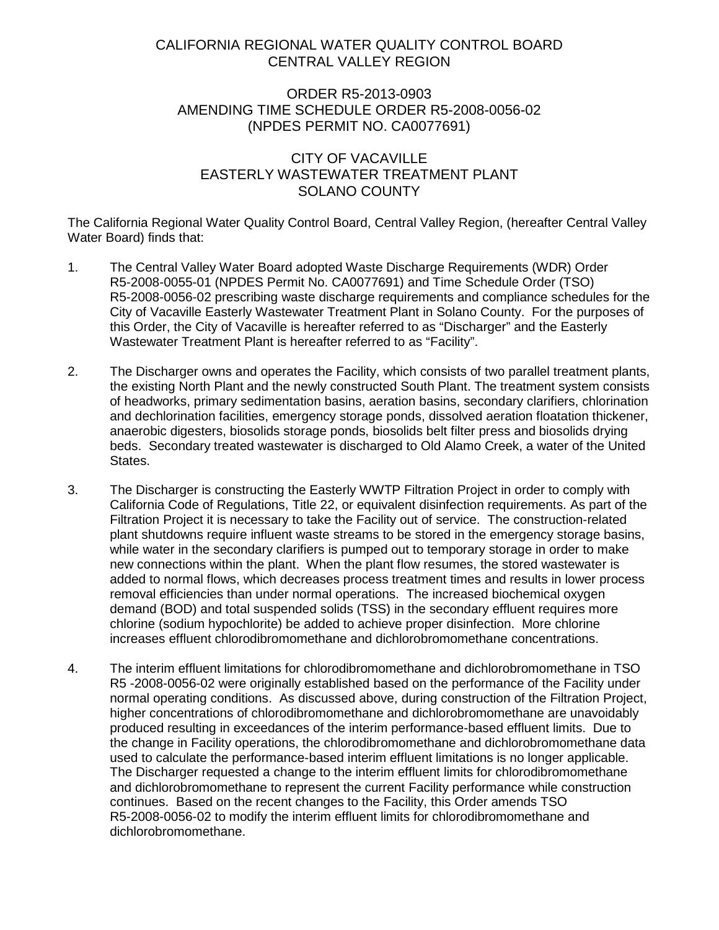## CALIFORNIA REGIONAL WATER QUALITY CONTROL BOARD CENTRAL VALLEY REGION

## ORDER R5-2013-0903 AMENDING TIME SCHEDULE ORDER R5-2008-0056-02 (NPDES PERMIT NO. CA0077691)

## CITY OF VACAVILLE EASTERLY WASTEWATER TREATMENT PLANT SOLANO COUNTY

The California Regional Water Quality Control Board, Central Valley Region, (hereafter Central Valley Water Board) finds that:

- 1. The Central Valley Water Board adopted Waste Discharge Requirements (WDR) Order R5-2008-0055-01 (NPDES Permit No. CA0077691) and Time Schedule Order (TSO) R5-2008-0056-02 prescribing waste discharge requirements and compliance schedules for the City of Vacaville Easterly Wastewater Treatment Plant in Solano County. For the purposes of this Order, the City of Vacaville is hereafter referred to as "Discharger" and the Easterly Wastewater Treatment Plant is hereafter referred to as "Facility".
- 2. The Discharger owns and operates the Facility, which consists of two parallel treatment plants, the existing North Plant and the newly constructed South Plant. The treatment system consists of headworks, primary sedimentation basins, aeration basins, secondary clarifiers, chlorination and dechlorination facilities, emergency storage ponds, dissolved aeration floatation thickener, anaerobic digesters, biosolids storage ponds, biosolids belt filter press and biosolids drying beds. Secondary treated wastewater is discharged to Old Alamo Creek, a water of the United States.
- 3. The Discharger is constructing the Easterly WWTP Filtration Project in order to comply with California Code of Regulations, Title 22, or equivalent disinfection requirements. As part of the Filtration Project it is necessary to take the Facility out of service. The construction-related plant shutdowns require influent waste streams to be stored in the emergency storage basins, while water in the secondary clarifiers is pumped out to temporary storage in order to make new connections within the plant. When the plant flow resumes, the stored wastewater is added to normal flows, which decreases process treatment times and results in lower process removal efficiencies than under normal operations. The increased biochemical oxygen demand (BOD) and total suspended solids (TSS) in the secondary effluent requires more chlorine (sodium hypochlorite) be added to achieve proper disinfection. More chlorine increases effluent chlorodibromomethane and dichlorobromomethane concentrations.
- 4. The interim effluent limitations for chlorodibromomethane and dichlorobromomethane in TSO R5 -2008-0056-02 were originally established based on the performance of the Facility under normal operating conditions. As discussed above, during construction of the Filtration Project, higher concentrations of chlorodibromomethane and dichlorobromomethane are unavoidably produced resulting in exceedances of the interim performance-based effluent limits. Due to the change in Facility operations, the chlorodibromomethane and dichlorobromomethane data used to calculate the performance-based interim effluent limitations is no longer applicable. The Discharger requested a change to the interim effluent limits for chlorodibromomethane and dichlorobromomethane to represent the current Facility performance while construction continues. Based on the recent changes to the Facility, this Order amends TSO R5-2008-0056-02 to modify the interim effluent limits for chlorodibromomethane and dichlorobromomethane.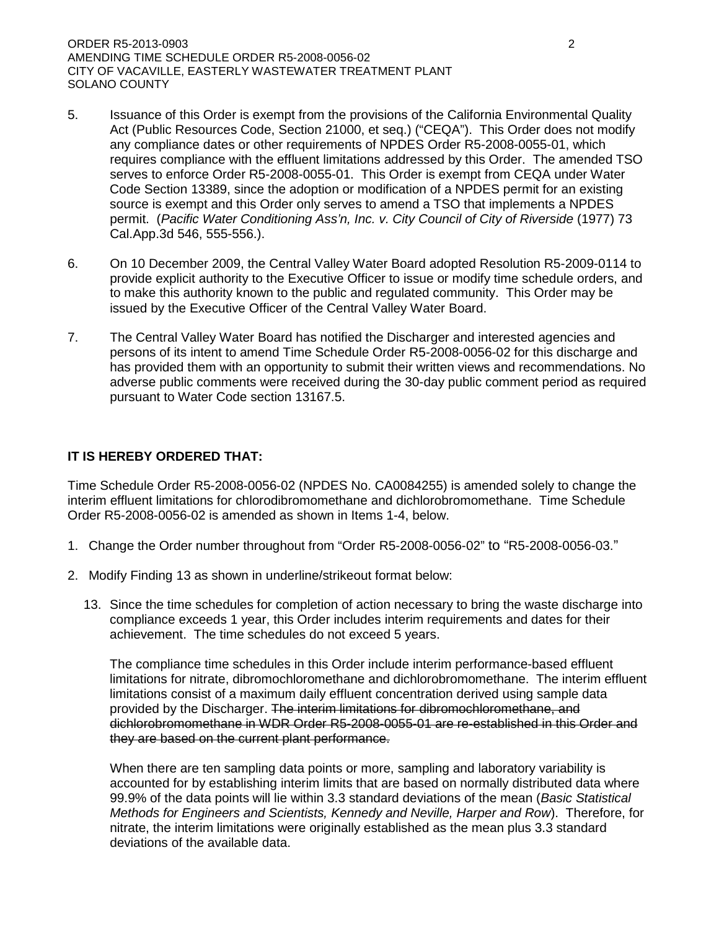ORDER R5-2013-0903 2 AMENDING TIME SCHEDULE ORDER R5-2008-0056-02 CITY OF VACAVILLE, EASTERLY WASTEWATER TREATMENT PLANT SOLANO COUNTY

- 5. Issuance of this Order is exempt from the provisions of the California Environmental Quality Act (Public Resources Code, Section 21000, et seq.) ("CEQA"). This Order does not modify any compliance dates or other requirements of NPDES Order R5-2008-0055-01, which requires compliance with the effluent limitations addressed by this Order. The amended TSO serves to enforce Order R5-2008-0055-01. This Order is exempt from CEQA under Water Code Section 13389, since the adoption or modification of a NPDES permit for an existing source is exempt and this Order only serves to amend a TSO that implements a NPDES permit. (*Pacific Water Conditioning Ass'n, Inc. v. City Council of City of Riverside* (1977) 73 Cal.App.3d 546, 555-556.).
- 6. On 10 December 2009, the Central Valley Water Board adopted Resolution R5-2009-0114 to provide explicit authority to the Executive Officer to issue or modify time schedule orders, and to make this authority known to the public and regulated community. This Order may be issued by the Executive Officer of the Central Valley Water Board.
- 7. The Central Valley Water Board has notified the Discharger and interested agencies and persons of its intent to amend Time Schedule Order R5-2008-0056-02 for this discharge and has provided them with an opportunity to submit their written views and recommendations. No adverse public comments were received during the 30-day public comment period as required pursuant to Water Code section 13167.5.

## **IT IS HEREBY ORDERED THAT:**

Time Schedule Order R5-2008-0056-02 (NPDES No. CA0084255) is amended solely to change the interim effluent limitations for chlorodibromomethane and dichlorobromomethane. Time Schedule Order R5-2008-0056-02 is amended as shown in Items 1-4, below.

- 1. Change the Order number throughout from "Order R5-2008-0056-02" to "R5-2008-0056-03."
- 2. Modify Finding 13 as shown in underline/strikeout format below:
	- 13. Since the time schedules for completion of action necessary to bring the waste discharge into compliance exceeds 1 year, this Order includes interim requirements and dates for their achievement. The time schedules do not exceed 5 years.

The compliance time schedules in this Order include interim performance-based effluent limitations for nitrate, dibromochloromethane and dichlorobromomethane. The interim effluent limitations consist of a maximum daily effluent concentration derived using sample data provided by the Discharger. The interim limitations for dibromochloromethane, and dichlorobromomethane in WDR Order R5-2008-0055-01 are re-established in this Order and they are based on the current plant performance.

When there are ten sampling data points or more, sampling and laboratory variability is accounted for by establishing interim limits that are based on normally distributed data where 99.9% of the data points will lie within 3.3 standard deviations of the mean (*Basic Statistical Methods for Engineers and Scientists, Kennedy and Neville, Harper and Row*). Therefore, for nitrate, the interim limitations were originally established as the mean plus 3.3 standard deviations of the available data.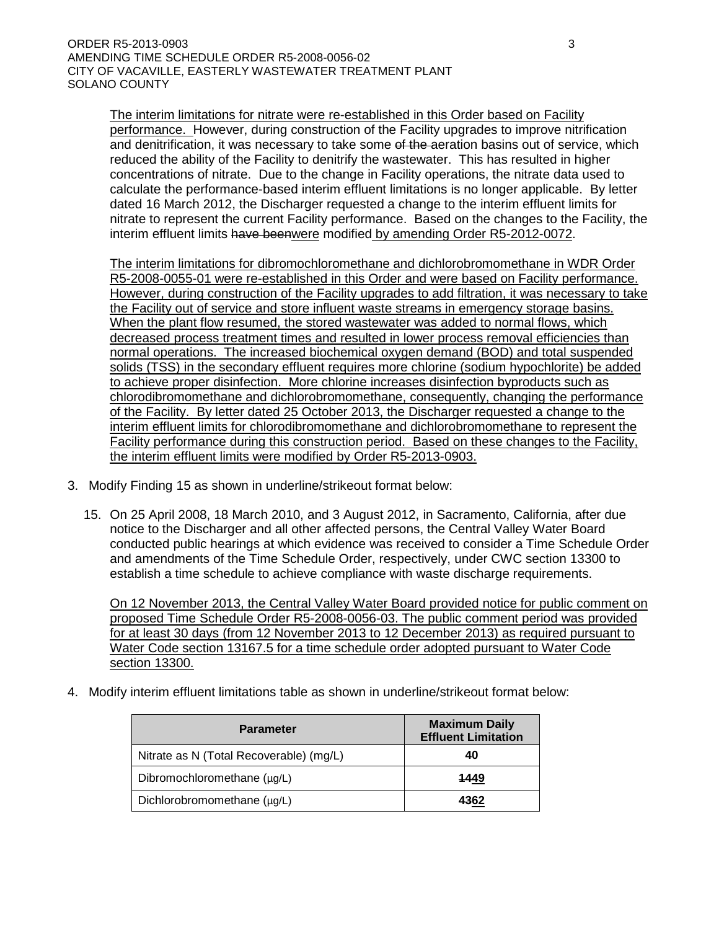The interim limitations for nitrate were re-established in this Order based on Facility performance. However, during construction of the Facility upgrades to improve nitrification and denitrification, it was necessary to take some of the aeration basins out of service, which reduced the ability of the Facility to denitrify the wastewater. This has resulted in higher concentrations of nitrate. Due to the change in Facility operations, the nitrate data used to calculate the performance-based interim effluent limitations is no longer applicable. By letter dated 16 March 2012, the Discharger requested a change to the interim effluent limits for nitrate to represent the current Facility performance. Based on the changes to the Facility, the interim effluent limits have beenwere modified by amending Order R5-2012-0072.

The interim limitations for dibromochloromethane and dichlorobromomethane in WDR Order R5-2008-0055-01 were re-established in this Order and were based on Facility performance. However, during construction of the Facility upgrades to add filtration, it was necessary to take the Facility out of service and store influent waste streams in emergency storage basins. When the plant flow resumed, the stored wastewater was added to normal flows, which decreased process treatment times and resulted in lower process removal efficiencies than normal operations. The increased biochemical oxygen demand (BOD) and total suspended solids (TSS) in the secondary effluent requires more chlorine (sodium hypochlorite) be added to achieve proper disinfection. More chlorine increases disinfection byproducts such as chlorodibromomethane and dichlorobromomethane, consequently, changing the performance of the Facility. By letter dated 25 October 2013, the Discharger requested a change to the interim effluent limits for chlorodibromomethane and dichlorobromomethane to represent the Facility performance during this construction period. Based on these changes to the Facility, the interim effluent limits were modified by Order R5-2013-0903.

- 3. Modify Finding 15 as shown in underline/strikeout format below:
	- 15. On 25 April 2008, 18 March 2010, and 3 August 2012, in Sacramento, California, after due notice to the Discharger and all other affected persons, the Central Valley Water Board conducted public hearings at which evidence was received to consider a Time Schedule Order and amendments of the Time Schedule Order, respectively, under CWC section 13300 to establish a time schedule to achieve compliance with waste discharge requirements.

On 12 November 2013, the Central Valley Water Board provided notice for public comment on proposed Time Schedule Order R5-2008-0056-03. The public comment period was provided for at least 30 days (from 12 November 2013 to 12 December 2013) as required pursuant to Water Code section 13167.5 for a time schedule order adopted pursuant to Water Code section 13300.

4. Modify interim effluent limitations table as shown in underline/strikeout format below:

| <b>Parameter</b>                        | <b>Maximum Daily</b><br><b>Effluent Limitation</b> |
|-----------------------------------------|----------------------------------------------------|
| Nitrate as N (Total Recoverable) (mg/L) | 40                                                 |
| Dibromochloromethane (µg/L)             | 1449                                               |
| Dichlorobromomethane (µg/L)             | 4362                                               |